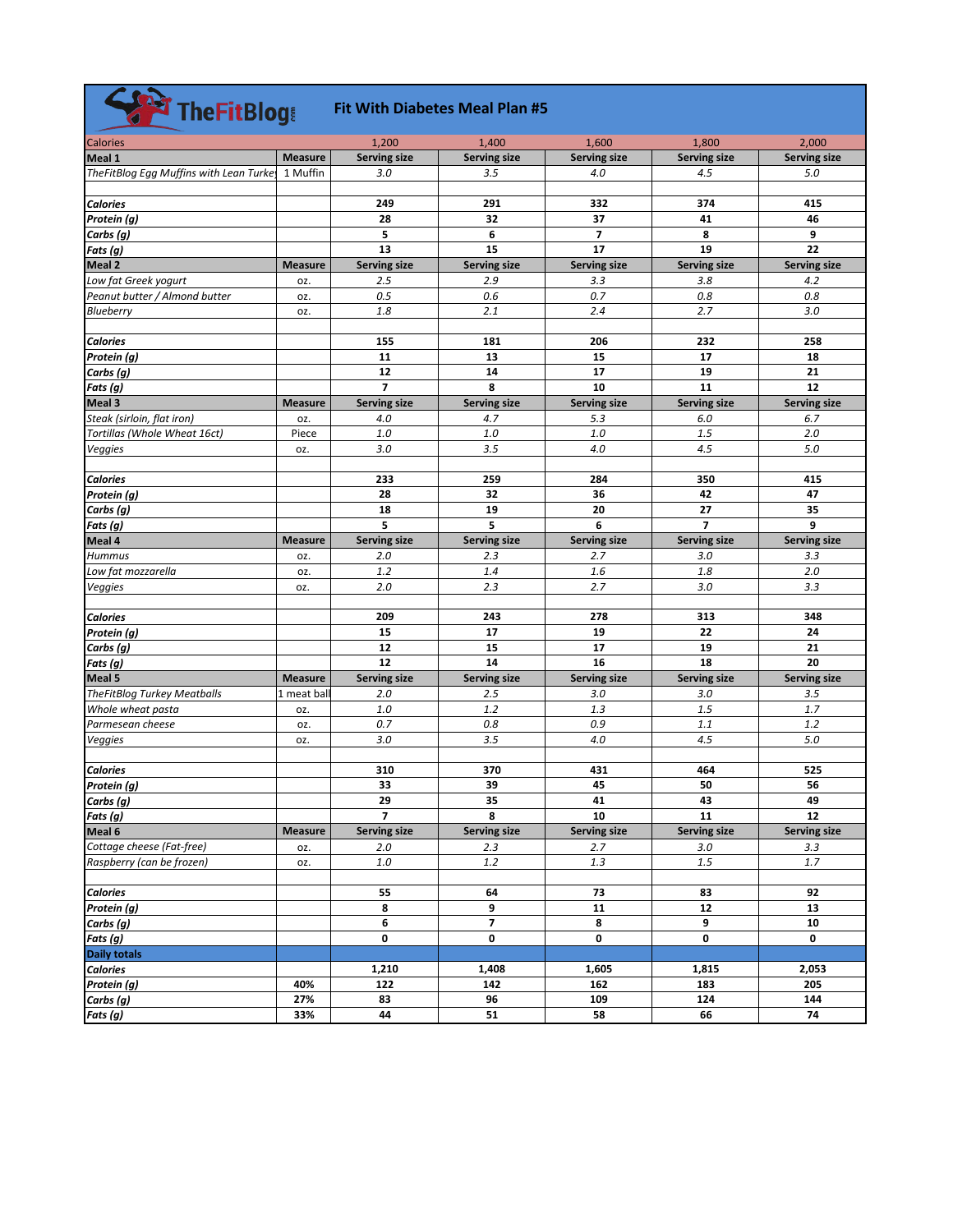| The FitBlogs                           |                |                     | <b>Fit With Diabetes Meal Plan #5</b> |                     |                      |                     |
|----------------------------------------|----------------|---------------------|---------------------------------------|---------------------|----------------------|---------------------|
| <b>Calories</b>                        |                | 1,200               | 1,400                                 | 1,600               | 1,800                | 2,000               |
| Meal 1                                 | <b>Measure</b> | <b>Serving size</b> | <b>Serving size</b>                   | <b>Serving size</b> | <b>Serving size</b>  | <b>Serving size</b> |
| TheFitBlog Egg Muffins with Lean Turke | 1 Muffin       | 3.0                 | 3.5                                   | 4.0                 | 4.5                  | 5.0                 |
|                                        |                |                     |                                       |                     |                      |                     |
| <b>Calories</b>                        |                | 249                 | 291                                   | 332                 | 374                  | 415                 |
| Protein (g)                            |                | 28                  | 32                                    | 37                  | 41                   | 46                  |
| Carbs (g)                              |                | 5                   | 6                                     | 7                   | 8                    | 9                   |
| Fats (g)                               |                | 13                  | 15                                    | 17                  | 19                   | 22                  |
| Meal 2                                 | <b>Measure</b> | <b>Serving size</b> | <b>Serving size</b>                   | <b>Serving size</b> | <b>Serving size</b>  | <b>Serving size</b> |
| Low fat Greek yogurt                   | OZ.            | 2.5                 | 2.9                                   | 3.3                 | 3.8                  | 4.2                 |
| Peanut butter / Almond butter          | OZ.            | 0.5                 | 0.6                                   | 0.7                 | 0.8                  | 0.8                 |
| <b>Blueberry</b>                       | OZ.            | 1.8                 | 2.1                                   | 2.4                 | 2.7                  | 3.0                 |
|                                        |                |                     |                                       |                     |                      |                     |
| <b>Calories</b>                        |                | 155                 | 181                                   | 206                 | 232                  | 258                 |
| Protein (g)                            |                | 11                  | 13                                    | 15                  | 17                   | 18                  |
| Carbs (g)                              |                | 12                  | 14                                    | 17                  | 19                   | 21                  |
| Fats (g)                               |                | $\overline{7}$      | 8                                     | 10                  | 11                   | 12                  |
| Meal 3                                 | <b>Measure</b> | <b>Serving size</b> | Serving size                          | <b>Serving size</b> | <b>Serving size</b>  | <b>Serving size</b> |
| Steak (sirloin, flat iron)             | OZ.            | 4.0                 | 4.7                                   | 5.3                 | 6.0                  | 6.7                 |
| Tortillas (Whole Wheat 16ct)           | Piece          | 1.0                 | 1.0                                   | 1.0                 | 1.5                  | 2.0                 |
| Veggies                                | OZ.            | 3.0                 | 3.5                                   | 4.0                 | 4.5                  | 5.0                 |
|                                        |                |                     |                                       |                     |                      |                     |
| <b>Calories</b>                        |                | 233                 | 259                                   | 284                 | 350                  | 415                 |
| Protein (g)                            |                | 28                  | 32                                    | 36                  | 42                   | 47                  |
| Carbs (g)                              |                | 18                  | 19<br>5                               | 20<br>6             | 27<br>$\overline{7}$ | 35<br>9             |
| Fats (g)                               |                | 5                   |                                       |                     |                      |                     |
| Meal 4                                 | <b>Measure</b> | <b>Serving size</b> | <b>Serving size</b>                   | <b>Serving size</b> | <b>Serving size</b>  | <b>Serving size</b> |
| <b>Hummus</b>                          | OZ.            | 2.0                 | 2.3                                   | 2.7                 | 3.0                  | 3.3                 |
| Low fat mozzarella                     | OZ.            | 1.2<br>2.0          | 1.4<br>2.3                            | 1.6<br>2.7          | 1.8<br>3.0           | 2.0<br>3.3          |
| Veggies                                | OZ.            |                     |                                       |                     |                      |                     |
| <b>Calories</b>                        |                | 209                 | 243                                   | 278                 | 313                  | 348                 |
| Protein (g)                            |                | 15                  | 17                                    | 19                  | 22                   | 24                  |
| Carbs (g)                              |                | 12                  | 15                                    | 17                  | 19                   | 21                  |
| Fats (g)                               |                | 12                  | 14                                    | 16                  | 18                   | 20                  |
| Meal 5                                 | <b>Measure</b> | <b>Serving size</b> | <b>Serving size</b>                   | <b>Serving size</b> | <b>Serving size</b>  | <b>Serving size</b> |
| <b>TheFitBlog Turkey Meatballs</b>     | 1 meat bal     | 2.0                 | 2.5                                   | 3.0                 | 3.0                  | 3.5                 |
| Whole wheat pasta                      | OZ.            | 1.0                 | 1.2                                   | 1.3                 | 1.5                  | 1.7                 |
| Parmesean cheese                       | OZ.            | 0.7                 | 0.8                                   | 0.9                 | 1.1                  | 1.2                 |
| Veggies                                | OZ.            | 3.0                 | 3.5                                   | 4.0                 | 4.5                  | 5.0                 |
| <b>Calories</b>                        |                | 310                 | 370                                   | 431                 | 464                  | 525                 |
| Protein (g)                            |                | 33                  | 39                                    | 45                  | 50                   | 56                  |
| Carbs (g)                              |                | 29                  | 35                                    | 41                  | 43                   | 49                  |
| Fats(g)                                |                | $\overline{7}$      | 8                                     | 10                  | 11                   | 12                  |
| Meal 6                                 | <b>Measure</b> | <b>Serving size</b> | Serving size                          | <b>Serving size</b> | Serving size         | <b>Serving size</b> |
| Cottage cheese (Fat-free)              | OZ.            | 2.0                 | 2.3                                   | 2.7                 | $3.0\,$              | 3.3                 |
| Raspberry (can be frozen)              | OZ.            | $1.0\,$             | $1.2$                                 | 1.3                 | $1.5\,$              | 1.7                 |
|                                        |                |                     |                                       |                     |                      |                     |
| <b>Calories</b>                        |                | 55                  | 64                                    | 73                  | 83                   | 92                  |
| Protein (g)                            |                | 8                   | 9                                     | 11                  | 12                   | 13                  |
| Carbs (g)                              |                | 6                   | $\overline{\mathbf{z}}$               | 8                   | 9                    | 10                  |
| Fats (g)                               |                | 0                   | 0                                     | 0                   | 0                    | 0                   |
| <b>Daily totals</b>                    |                |                     |                                       |                     |                      |                     |
| <b>Calories</b>                        |                | 1,210               | 1,408                                 | 1,605               | 1,815                | 2,053               |
| Protein (g)                            | 40%            | 122                 | 142                                   | 162                 | 183                  | 205                 |
| Carbs (g)                              | 27%            | 83                  | 96                                    | 109                 | 124                  | 144                 |
| Fats (g)                               | 33%            | 44                  | 51                                    | 58                  | 66                   | 74                  |